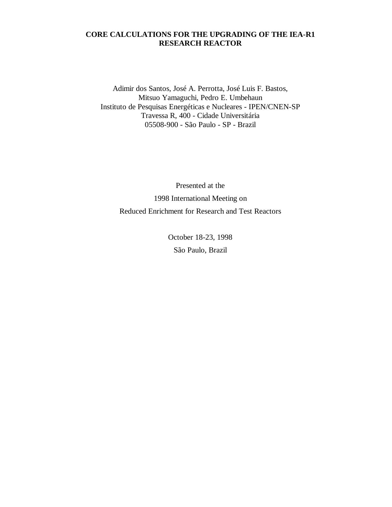# **CORE CALCULATIONS FOR THE UPGRADING OF THE IEA-R1 RESEARCH REACTOR**

Adimir dos Santos, José A. Perrotta, José Luis F. Bastos, Mitsuo Yamaguchi, Pedro E. Umbehaun Instituto de Pesquisas Energéticas e Nucleares - IPEN/CNEN-SP Travessa R, 400 - Cidade Universitária 05508-900 - São Paulo - SP - Brazil

Presented at the 1998 International Meeting on Reduced Enrichment for Research and Test Reactors

> October 18-23, 1998 São Paulo, Brazil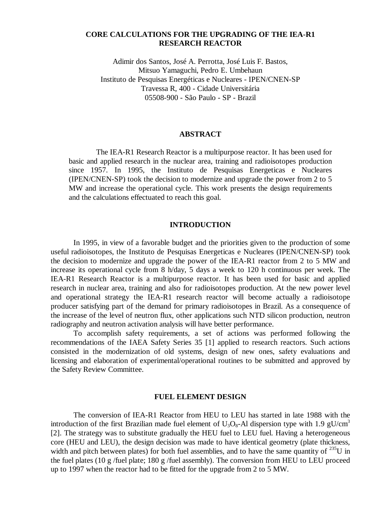## **CORE CALCULATIONS FOR THE UPGRADING OF THE IEA-R1 RESEARCH REACTOR**

Adimir dos Santos, José A. Perrotta, José Luis F. Bastos, Mitsuo Yamaguchi, Pedro E. Umbehaun Instituto de Pesquisas Energéticas e Nucleares - IPEN/CNEN-SP Travessa R, 400 - Cidade Universitária 05508-900 - São Paulo - SP - Brazil

### **ABSTRACT**

The IEA-R1 Research Reactor is a multipurpose reactor. It has been used for basic and applied research in the nuclear area, training and radioisotopes production since 1957. In 1995, the Instituto de Pesquisas Energeticas e Nucleares (IPEN/CNEN-SP) took the decision to modernize and upgrade the power from 2 to 5 MW and increase the operational cycle. This work presents the design requirements and the calculations effectuated to reach this goal.

#### **INTRODUCTION**

In 1995, in view of a favorable budget and the priorities given to the production of some useful radioisotopes, the Instituto de Pesquisas Energeticas e Nucleares (IPEN/CNEN-SP) took the decision to modernize and upgrade the power of the IEA-R1 reactor from 2 to 5 MW and increase its operational cycle from 8 h/day, 5 days a week to 120 h continuous per week. The IEA-R1 Research Reactor is a multipurpose reactor. It has been used for basic and applied research in nuclear area, training and also for radioisotopes production. At the new power level and operational strategy the IEA-R1 research reactor will become actually a radioisotope producer satisfying part of the demand for primary radioisotopes in Brazil. As a consequence of the increase of the level of neutron flux, other applications such NTD silicon production, neutron radiography and neutron activation analysis will have better performance.

To accomplish safety requirements, a set of actions was performed following the recommendations of the IAEA Safety Series 35 [1] applied to research reactors. Such actions consisted in the modernization of old systems, design of new ones, safety evaluations and licensing and elaboration of experimental/operational routines to be submitted and approved by the Safety Review Committee.

#### **FUEL ELEMENT DESIGN**

The conversion of IEA-R1 Reactor from HEU to LEU has started in late 1988 with the introduction of the first Brazilian made fuel element of  $U_3O_8$ -Al dispersion type with 1.9 gU/cm<sup>3</sup> [2]. The strategy was to substitute gradually the HEU fuel to LEU fuel. Having a heterogeneous core (HEU and LEU), the design decision was made to have identical geometry (plate thickness, width and pitch between plates) for both fuel assemblies, and to have the same quantity of  $^{235}$ U in the fuel plates (10 g /fuel plate; 180 g /fuel assembly). The conversion from HEU to LEU proceed up to 1997 when the reactor had to be fitted for the upgrade from 2 to 5 MW.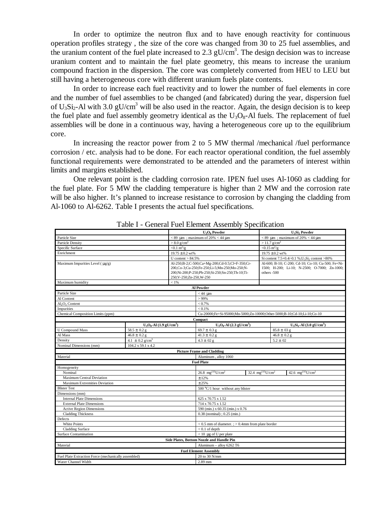In order to optimize the neutron flux and to have enough reactivity for continuous operation profiles strategy , the size of the core was changed from 30 to 25 fuel assemblies, and the uranium content of the fuel plate increased to 2.3  $gU/cm<sup>3</sup>$ . The design decision was to increase uranium content and to maintain the fuel plate geometry, this means to increase the uranium compound fraction in the dispersion. The core was completely converted from HEU to LEU but still having a heterogeneous core with different uranium fuels plate contents.

In order to increase each fuel reactivity and to lower the number of fuel elements in core and the number of fuel assemblies to be changed (and fabricated) during the year, dispersion fuel of  $U_3Si_2$ -Al with 3.0 gU/cm<sup>3</sup> will be also used in the reactor. Again, the design decision is to keep the fuel plate and fuel assembly geometry identical as the  $U_3O_8$ -Al fuels. The replacement of fuel assemblies will be done in a continuous way, having a heterogeneous core up to the equilibrium core.

In increasing the reactor power from 2 to 5 MW thermal /mechanical /fuel performance corrosion / etc. analysis had to be done. For each reactor operational condition, the fuel assembly functional requirements were demonstrated to be attended and the parameters of interest within limits and margins established.

One relevant point is the cladding corrosion rate. IPEN fuel uses Al-1060 as cladding for the fuel plate. For 5 MW the cladding temperature is higher than 2 MW and the corrosion rate will be also higher. It's planned to increase resistance to corrosion by changing the cladding from Al-1060 to Al-6262. Table I presents the actual fuel specifications.

|                                                         |                                        |                                                                                                                                                                                    | $U_3O_8$ Powder                                                                                |  | U <sub>3</sub> Si <sub>2</sub> Powder                                                                              |  |
|---------------------------------------------------------|----------------------------------------|------------------------------------------------------------------------------------------------------------------------------------------------------------------------------------|------------------------------------------------------------------------------------------------|--|--------------------------------------------------------------------------------------------------------------------|--|
| Particle Size                                           |                                        | $<$ 89 $\mu$ m; maximum of 20% $<$ 44 $\mu$ m                                                                                                                                      |                                                                                                |  | $< 89$ µm; maximum of 20% $< 44$ µm                                                                                |  |
| <b>Particle Density</b>                                 |                                        | $> 8.0$ g/cm <sup>3</sup>                                                                                                                                                          |                                                                                                |  | $> 11.7$ g/cm <sup>3</sup>                                                                                         |  |
| Specific Surface                                        |                                        | $< 0.1 \text{ m}^2/\text{g}$                                                                                                                                                       |                                                                                                |  | $< 0.15 \frac{m^2}{g}$                                                                                             |  |
| Enrichment                                              |                                        | $19.75 \pm 0.2$ wt%                                                                                                                                                                |                                                                                                |  | $19.75 \pm 0.2$ wt%                                                                                                |  |
|                                                         |                                        | U content $> 84.5\%$                                                                                                                                                               |                                                                                                |  | Si content 7.5+0.4/-0.1 %; U <sub>3</sub> Si <sub>2</sub> content >80%                                             |  |
| Maximum Impurities Level ( $\mu$ g/g)                   |                                        | Al-250;B-2;C-500;Ca+Mg-200;Cd-0.5;Cl+F-350;Cr-<br>200, Co-3; Cu-250; Fe-250; Li-5; Mn-250; Mo-250; N-<br>200;Ni-200;P-250;Pb-250;Si-250;Sn-250;Th-10;Ti-<br>250;V-250;Zn-250,W-250 |                                                                                                |  | Al-600; B-10; C-200; Cd-10; Co-10; Cu-500; Fe+Ni-<br>1500; H-200; Li-10; N-2500; O-7000; Zn-1000;<br>$others -500$ |  |
| Maximum humidity                                        |                                        | $< 1\%$                                                                                                                                                                            |                                                                                                |  |                                                                                                                    |  |
|                                                         |                                        |                                                                                                                                                                                    | Al Powder                                                                                      |  |                                                                                                                    |  |
| Particle Size                                           |                                        |                                                                                                                                                                                    | $<$ 44 $\mu$ m                                                                                 |  |                                                                                                                    |  |
| Al Content                                              |                                        |                                                                                                                                                                                    | >99%                                                                                           |  |                                                                                                                    |  |
| Al <sub>2</sub> O <sub>3</sub> Content                  |                                        |                                                                                                                                                                                    | < 0.7%                                                                                         |  |                                                                                                                    |  |
| Impurities                                              |                                        |                                                                                                                                                                                    | < 0.1%                                                                                         |  |                                                                                                                    |  |
| Chemical Composition Limits (ppm)                       |                                        |                                                                                                                                                                                    | Cu-20000;Fe+Si-95000;Mn-5000;Zn-10000;Other-5000;B-10;Cd-10;Li-10;Co-10                        |  |                                                                                                                    |  |
|                                                         |                                        |                                                                                                                                                                                    | Compact                                                                                        |  |                                                                                                                    |  |
|                                                         | $U_3O_8$ -Al (1.9 gU/cm <sup>3</sup> ) |                                                                                                                                                                                    | $U_3O_8$ -Al (2.3 gU/cm <sup>3</sup> )                                                         |  | $U_3Si_2$ -Al (3.0 gU/cm <sup>3</sup> )                                                                            |  |
| <b>U</b> Compound Mass                                  | $58.5 \pm 0.2$ g                       |                                                                                                                                                                                    | 69.7 $\pm$ 0.3 g                                                                               |  | $85.8 \pm 03$ g                                                                                                    |  |
| Al Mass                                                 | $46.8 \pm 0.2$ g                       |                                                                                                                                                                                    | $41.3 \pm 0.2$ g                                                                               |  | $46.8 \pm 0.2$ g                                                                                                   |  |
| Density                                                 | $4.1 \pm 0.2$ g/cm <sup>3</sup>        |                                                                                                                                                                                    | $4.3 \pm 02$ g                                                                                 |  | $5.2 \pm 02$                                                                                                       |  |
| Nominal Dimensions (mm)                                 | 104.2 x 59.1 x 4.2                     |                                                                                                                                                                                    |                                                                                                |  |                                                                                                                    |  |
|                                                         |                                        |                                                                                                                                                                                    | <b>Picture Frame and Cladding</b>                                                              |  |                                                                                                                    |  |
| Material                                                |                                        |                                                                                                                                                                                    | Aluminum, alloy 1060                                                                           |  |                                                                                                                    |  |
|                                                         |                                        |                                                                                                                                                                                    | <b>Fuel Plate</b>                                                                              |  |                                                                                                                    |  |
| Homogeneity                                             |                                        |                                                                                                                                                                                    |                                                                                                |  |                                                                                                                    |  |
| Nominal                                                 |                                        |                                                                                                                                                                                    | 26.8 $mg^{235}U/cm^{2}$<br>32.4 $mg^{235}U/cm^{2}$<br>42.6 mg <sup>235</sup> U/cm <sup>2</sup> |  |                                                                                                                    |  |
| Maximum Central Deviation                               |                                        |                                                                                                                                                                                    | ±12%                                                                                           |  |                                                                                                                    |  |
| <b>Maximum Extremities Deviation</b>                    |                                        |                                                                                                                                                                                    | ± 25%                                                                                          |  |                                                                                                                    |  |
| <b>Blister Test</b>                                     |                                        |                                                                                                                                                                                    | 500 °C/1 hour without any blister                                                              |  |                                                                                                                    |  |
| Dimensions (mm)                                         |                                        |                                                                                                                                                                                    |                                                                                                |  |                                                                                                                    |  |
| <b>Internal Plate Dimensions</b>                        |                                        |                                                                                                                                                                                    | 625 x 70.75 x 1.52                                                                             |  |                                                                                                                    |  |
| <b>External Plate Dimensions</b>                        |                                        |                                                                                                                                                                                    | 714 x 70.75 x 1.52                                                                             |  |                                                                                                                    |  |
| <b>Active Region Dimensions</b>                         |                                        |                                                                                                                                                                                    | 590 (min.) x 60.35 (min.) x 0.76                                                               |  |                                                                                                                    |  |
| <b>Cladding Thickness</b>                               |                                        |                                                                                                                                                                                    | $0.38$ (nominal); $0.25$ (min.)                                                                |  |                                                                                                                    |  |
| Defects                                                 |                                        |                                                                                                                                                                                    |                                                                                                |  |                                                                                                                    |  |
| White Points                                            |                                        |                                                                                                                                                                                    | $< 0.5$ mm of diameter. ; $> 0.4$ mm from plate border                                         |  |                                                                                                                    |  |
| <b>Cladding Surface</b><br><b>Surface Contamination</b> |                                        |                                                                                                                                                                                    | $< 0.1$ of depth                                                                               |  |                                                                                                                    |  |
|                                                         |                                        |                                                                                                                                                                                    | $< 10 \mu$ g of U per plate                                                                    |  |                                                                                                                    |  |
| Side Plates, Bottom Nozzle and Handle Pin               |                                        |                                                                                                                                                                                    |                                                                                                |  |                                                                                                                    |  |
| Material<br>Aluminum - alloy 6262 T6                    |                                        |                                                                                                                                                                                    |                                                                                                |  |                                                                                                                    |  |
| <b>Fuel Element Assembly</b>                            |                                        |                                                                                                                                                                                    |                                                                                                |  |                                                                                                                    |  |
| Fuel Plate Extraction Force (mechanically assembled)    |                                        |                                                                                                                                                                                    | 20 to 30 N/mm                                                                                  |  |                                                                                                                    |  |
| Water Channel Width                                     |                                        |                                                                                                                                                                                    | 2.89 mm                                                                                        |  |                                                                                                                    |  |

Table I - General Fuel Element Assembly Specification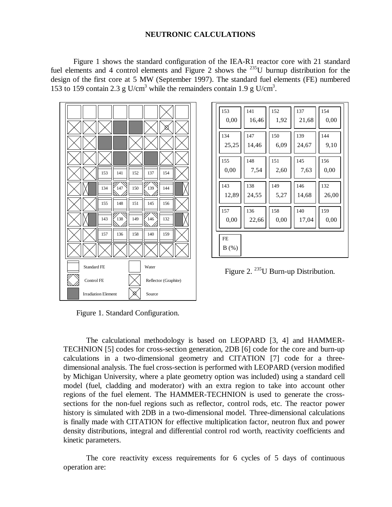## **NEUTRONIC CALCULATIONS**

Figure 1 shows the standard configuration of the IEA-R1 reactor core with 21 standard fuel elements and 4 control elements and Figure 2 shows the  $^{235}$ U burnup distribution for the design of the first core at 5 MW (September 1997). The standard fuel elements (FE) numbered 153 to 159 contain 2.3 g U/cm<sup>3</sup> while the remainders contain 1.9 g U/cm<sup>3</sup>.



| 134   | 147   | 150  | 139   | 144   |
|-------|-------|------|-------|-------|
| 25,25 | 14,46 | 6,09 | 24,67 | 9,10  |
|       |       |      |       |       |
| 155   | 148   | 151  | 145   | 156   |
| 0,00  | 7,54  | 2,60 | 7,63  | 0,00  |
|       |       |      |       |       |
| 143   | 138   | 149  | 146   | 132   |
| 12,89 | 24,55 | 5,27 | 14,68 | 26,00 |
| 157   | 136   | 158  | 140   | 159   |
| 0,00  | 22,66 | 0,00 | 17,04 | 0,00  |
|       |       |      |       |       |
| FE    |       |      |       |       |
| B(%)  |       |      |       |       |

153 ||141 ||152 ||137 ||154

 $0,00$  | 16,46 | 1,92 | 21,68 | 0,00

Figure 2. <sup>235</sup>U Burn-up Distribution.

Figure 1. Standard Configuration.

The calculational methodology is based on LEOPARD [3, 4] and HAMMER-TECHNION [5] codes for cross-section generation, 2DB [6] code for the core and burn-up calculations in a two-dimensional geometry and CITATION [7] code for a threedimensional analysis. The fuel cross-section is performed with LEOPARD (version modified by Michigan University, where a plate geometry option was included) using a standard cell model (fuel, cladding and moderator) with an extra region to take into account other regions of the fuel element. The HAMMER-TECHNION is used to generate the crosssections for the non-fuel regions such as reflector, control rods, etc. The reactor power history is simulated with 2DB in a two-dimensional model. Three-dimensional calculations is finally made with CITATION for effective multiplication factor, neutron flux and power density distributions, integral and differential control rod worth, reactivity coefficients and kinetic parameters.

The core reactivity excess requirements for 6 cycles of 5 days of continuous operation are: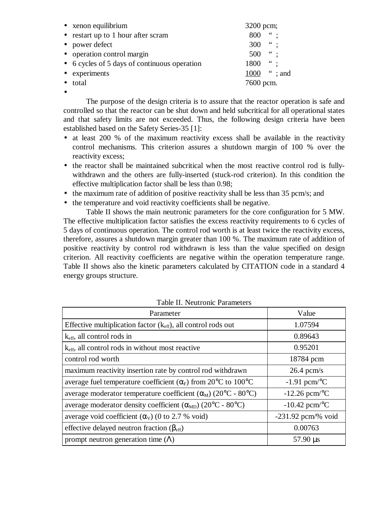| • xenon equilibrium                          | 3200 pcm;                   |
|----------------------------------------------|-----------------------------|
| • restart up to 1 hour after scram           | $\frac{1}{2}$<br>800        |
| • power defect                               | $\ddot{\phantom{0}}$<br>300 |
| • operation control margin                   | $\ddot{\phantom{0}}$<br>500 |
| • 6 cycles of 5 days of continuous operation | $\ddotsc$<br>1800           |
| • experiments                                | 1000 "; and                 |
| • total                                      | 7600 pcm.                   |
|                                              |                             |

The purpose of the design criteria is to assure that the reactor operation is safe and controlled so that the reactor can be shut down and held subcritical for all operational states and that safety limits are not exceeded. Thus, the following design criteria have been established based on the Safety Series-35 [1]:

- at least 200 % of the maximum reactivity excess shall be available in the reactivity control mechanisms. This criterion assures a shutdown margin of 100 % over the reactivity excess;
- the reactor shall be maintained subcritical when the most reactive control rod is fullywithdrawn and the others are fully-inserted (stuck-rod criterion). In this condition the effective multiplication factor shall be less than 0.98;
- the maximum rate of addition of positive reactivity shall be less than 35 pcm/s; and
- the temperature and void reactivity coefficients shall be negative.

Table II shows the main neutronic parameters for the core configuration for 5 MW. The effective multiplication factor satisfies the excess reactivity requirements to 6 cycles of 5 days of continuous operation. The control rod worth is at least twice the reactivity excess, therefore, assures a shutdown margin greater than 100 %. The maximum rate of addition of positive reactivity by control rod withdrawn is less than the value specified on design criterion. All reactivity coefficients are negative within the operation temperature range. Table II shows also the kinetic parameters calculated by CITATION code in a standard 4 energy groups structure.

| Parameter                                                                                      | Value                       |
|------------------------------------------------------------------------------------------------|-----------------------------|
| Effective multiplication factor $(k_{\text{eff}})$ , all control rods out                      | 1.07594                     |
| $k_{\text{eff}}$ , all control rods in                                                         | 0.89643                     |
| k <sub>eff</sub> , all control rods in without most reactive                                   | 0.95201                     |
| control rod worth                                                                              | 18784 pcm                   |
| maximum reactivity insertion rate by control rod withdrawn                                     | $26.4$ pcm/s                |
| average fuel temperature coefficient $(\alpha_F)$ from 20°C to 100°C                           | $-1.91$ pcm/ $\rm ^{o}C$    |
| average moderator temperature coefficient $(\alpha_M)$ (20 <sup>o</sup> C - 80 <sup>o</sup> C) | $-12.26$ pcm <sup>o</sup> C |
| average moderator density coefficient $(\alpha_{MD})$ (20°C - 80°C)                            | $-10.42$ pcm <sup>o</sup> C |
| average void coefficient $(\alpha_V)$ (0 to 2.7 % void)                                        | $-231.92$ pcm/% void        |
| effective delayed neutron fraction $(\beta_{\text{eff}})$                                      | 0.00763                     |
| prompt neutron generation time $(\Lambda)$                                                     | $57.90 \,\mu s$             |

Table II. Neutronic Parameters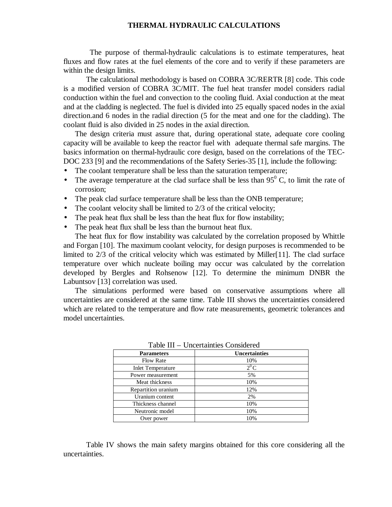## **THERMAL HYDRAULIC CALCULATIONS**

 The purpose of thermal-hydraulic calculations is to estimate temperatures, heat fluxes and flow rates at the fuel elements of the core and to verify if these parameters are within the design limits.

The calculational methodology is based on COBRA 3C/RERTR [8] code. This code is a modified version of COBRA 3C/MIT. The fuel heat transfer model considers radial conduction within the fuel and convection to the cooling fluid. Axial conduction at the meat and at the cladding is neglected. The fuel is divided into 25 equally spaced nodes in the axial direction.and 6 nodes in the radial direction (5 for the meat and one for the cladding). The coolant fluid is also divided in 25 nodes in the axial direction.

The design criteria must assure that, during operational state, adequate core cooling capacity will be available to keep the reactor fuel with adequate thermal safe margins. The basics information on thermal-hydraulic core design, based on the correlations of the TEC-DOC 233 [9] and the recommendations of the Safety Series-35 [1], include the following:

- The coolant temperature shall be less than the saturation temperature;
- The average temperature at the clad surface shall be less than  $95^{\circ}$  C, to limit the rate of corrosion;
- The peak clad surface temperature shall be less than the ONB temperature;
- The coolant velocity shall be limited to 2/3 of the critical velocity;
- The peak heat flux shall be less than the heat flux for flow instability;
- The peak heat flux shall be less than the burnout heat flux.

The heat flux for flow instability was calculated by the correlation proposed by Whittle and Forgan [10]. The maximum coolant velocity, for design purposes is recommended to be limited to  $2/3$  of the critical velocity which was estimated by Miller[11]. The clad surface temperature over which nucleate boiling may occur was calculated by the correlation developed by Bergles and Rohsenow [12]. To determine the minimum DNBR the Labuntsov [13] correlation was used.

The simulations performed were based on conservative assumptions where all uncertainties are considered at the same time. Table III shows the uncertainties considered which are related to the temperature and flow rate measurements, geometric tolerances and model uncertainties.

| a aoicht<br>Oncertammes Considered |                      |  |  |
|------------------------------------|----------------------|--|--|
| <b>Parameters</b>                  | <b>Uncertainties</b> |  |  |
| <b>Flow Rate</b>                   | 10%                  |  |  |
| <b>Inlet Temperature</b>           | $2^0C$               |  |  |
| Power measurement                  | 5%                   |  |  |
| Meat thickness                     | 10%                  |  |  |
| Repartition uranium                | 12%                  |  |  |
| Uranium content                    | 2%                   |  |  |
| Thickness channel                  | 10%                  |  |  |
| Neutronic model                    | 10%                  |  |  |
| Over power                         | 10%                  |  |  |

Table III – Uncertainties Considered

Table IV shows the main safety margins obtained for this core considering all the uncertainties.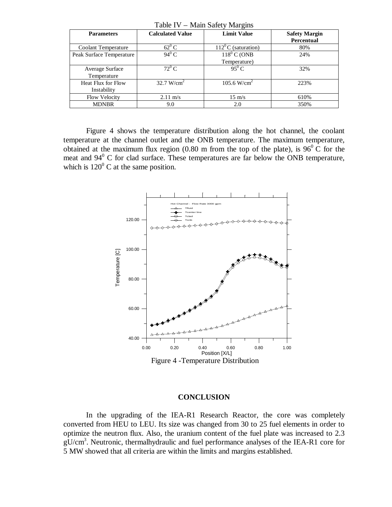| ***** * *<br>1.14        |                         |                              |                                    |  |
|--------------------------|-------------------------|------------------------------|------------------------------------|--|
| <b>Parameters</b>        | <b>Calculated Value</b> | <b>Limit Value</b>           | <b>Safety Margin</b><br>Percentual |  |
| Coolant Temperature      | $62^0$ C                | $112^{\circ}$ C (saturation) | 80%                                |  |
| Peak Surface Temperature | $94^0$ C                | $118^0$ C (ONB               | 24%                                |  |
|                          |                         | Temperature)                 |                                    |  |
| Average Surface          | $72^0$ C                | $95^0C$                      | 32%                                |  |
| Temperature              |                         |                              |                                    |  |
| Heat Flux for Flow       | 32.7 W/cm <sup>2</sup>  | 105.6 W/cm <sup>2</sup>      | 223%                               |  |
| Instability              |                         |                              |                                    |  |
| Flow Velocity            | $2.11 \text{ m/s}$      | $15 \text{ m/s}$             | 610%                               |  |
| <b>MDNBR</b>             | 9.0                     | 2.0                          | 350%                               |  |

Table IV – Main Safety Margins

Figure 4 shows the temperature distribution along the hot channel, the coolant temperature at the channel outlet and the ONB temperature. The maximum temperature, obtained at the maximum flux region (0.80 m from the top of the plate), is  $96^{\circ}$  C for the meat and  $94^{\circ}$  C for clad surface. These temperatures are far below the ONB temperature, which is  $120^{\circ}$  C at the same position.



#### **CONCLUSION**

In the upgrading of the IEA-R1 Research Reactor, the core was completely converted from HEU to LEU. Its size was changed from 30 to 25 fuel elements in order to optimize the neutron flux. Also, the uranium content of the fuel plate was increased to 2.3 gU/cm<sup>3</sup>. Neutronic, thermalhydraulic and fuel performance analyses of the IEA-R1 core for 5 MW showed that all criteria are within the limits and margins established.